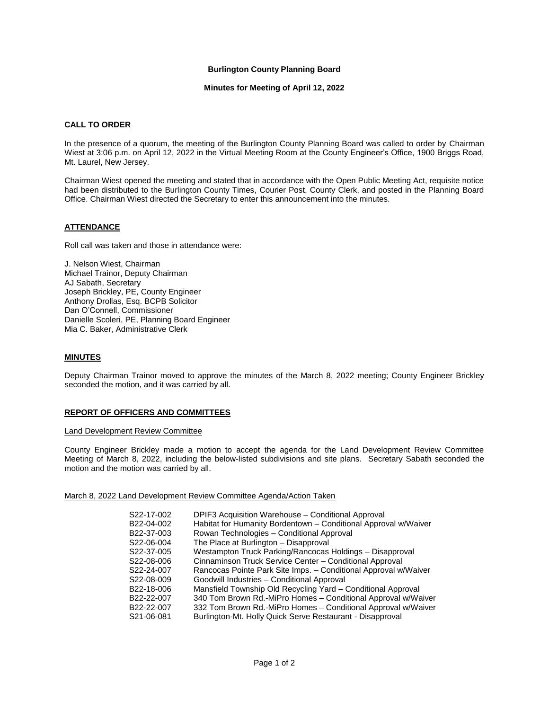# **Burlington County Planning Board**

**Minutes for Meeting of April 12, 2022**

## **CALL TO ORDER**

In the presence of a quorum, the meeting of the Burlington County Planning Board was called to order by Chairman Wiest at 3:06 p.m. on April 12, 2022 in the Virtual Meeting Room at the County Engineer's Office, 1900 Briggs Road, Mt. Laurel, New Jersey.

Chairman Wiest opened the meeting and stated that in accordance with the Open Public Meeting Act, requisite notice had been distributed to the Burlington County Times, Courier Post, County Clerk, and posted in the Planning Board Office. Chairman Wiest directed the Secretary to enter this announcement into the minutes.

## **ATTENDANCE**

Roll call was taken and those in attendance were:

J. Nelson Wiest, Chairman Michael Trainor, Deputy Chairman AJ Sabath, Secretary Joseph Brickley, PE, County Engineer Anthony Drollas, Esq. BCPB Solicitor Dan O'Connell, Commissioner Danielle Scoleri, PE, Planning Board Engineer Mia C. Baker, Administrative Clerk

# **MINUTES**

Deputy Chairman Trainor moved to approve the minutes of the March 8, 2022 meeting; County Engineer Brickley seconded the motion, and it was carried by all.

#### **REPORT OF OFFICERS AND COMMITTEES**

#### Land Development Review Committee

County Engineer Brickley made a motion to accept the agenda for the Land Development Review Committee Meeting of March 8, 2022, including the below-listed subdivisions and site plans. Secretary Sabath seconded the motion and the motion was carried by all.

#### March 8, 2022 Land Development Review Committee Agenda/Action Taken

| S22-17-002 | DPIF3 Acquisition Warehouse - Conditional Approval              |
|------------|-----------------------------------------------------------------|
| B22-04-002 | Habitat for Humanity Bordentown - Conditional Approval w/Waiver |
| B22-37-003 | Rowan Technologies - Conditional Approval                       |
| S22-06-004 | The Place at Burlington – Disapproval                           |
| S22-37-005 | Westampton Truck Parking/Rancocas Holdings - Disapproval        |
| S22-08-006 | Cinnaminson Truck Service Center - Conditional Approval         |
| S22-24-007 | Rancocas Pointe Park Site Imps. - Conditional Approval w/Waiver |
| S22-08-009 | Goodwill Industries - Conditional Approval                      |
| B22-18-006 | Mansfield Township Old Recycling Yard - Conditional Approval    |
| B22-22-007 | 340 Tom Brown Rd.-MiPro Homes - Conditional Approval w/Waiver   |
| B22-22-007 | 332 Tom Brown Rd.-MiPro Homes - Conditional Approval w/Waiver   |
| S21-06-081 | Burlington-Mt. Holly Quick Serve Restaurant - Disapproval       |